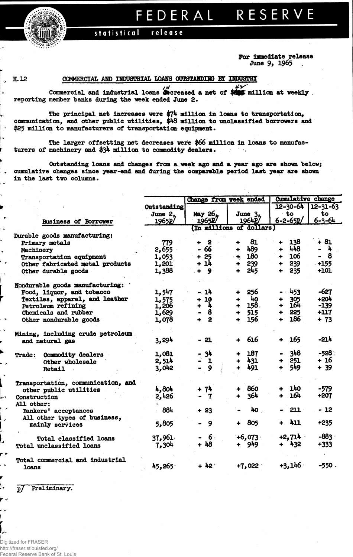FEDERAL RESERVE

statistical release

> **For Immediate release June 9# 1965**

 $\ddot{\phantom{1}}$ 

## H. 12 COMMERCIAL **AMD INDUSTRIAL LOAMS OUTSTAHDIMQ BT IMDC3THY**

Commercial and industrial loans **decreased** a net of reporting member banks during the week ended June 2. **F** million at weekly

The principal net increases were  $\frac{274}{111100}$  in loans to transportation, communication, and other public utilities, \$48 million to unclassified borrowers and \$25 million to manufacturers of transportation equipment.

The larger offsetting net decreases were \$66 million in loans to manufacturers of machinery and \$34 million to commodity dealers.  $\mathcal{L}_{\mathcal{A}}$  ,

Outstanding loans and changes from a week ago and a year ago are shown below; cumulative changes since year-end and during the comparable period last year are shown in the last two columns.

|                                    |               | Change from week ended        |                             | <b>Cumulative change</b>    |                |  |  |
|------------------------------------|---------------|-------------------------------|-----------------------------|-----------------------------|----------------|--|--|
|                                    | Outstanding   |                               |                             | $12 - 30 - 64$              | $12 - 31 - 63$ |  |  |
|                                    | June 2,       | May 26.                       | June 3.                     | $-t$ o                      | to             |  |  |
| <b>Business of Borrower</b>        | 1965 <b>P</b> | 1965 <b>P</b>                 | 1964P/                      | $6 - 2 - 65p$               | $6 - 3 - 64$   |  |  |
|                                    |               |                               | (In millions of dollars)    |                             |                |  |  |
| Durable goods manufacturing:       |               |                               |                             |                             |                |  |  |
| Primary metals                     | 779           | - 2<br>÷                      | 81<br>╇                     | 138<br>$\ddot{\phantom{1}}$ | $+81$          |  |  |
| Machinery                          | 2,655         | - 66                          | 489<br>$+$ $-$              | $+ 448$                     | – h            |  |  |
| Transportation equipment           | 1,053         | $+25$                         | $+ 180$                     | 106<br>$\ddotmark$          | $-8$           |  |  |
| Other fabricated metal products    | 1,201         | + 14                          | 239<br>$+$                  | 239<br>$\ddotmark$          | $-+155$        |  |  |
| Other durable goods                | 1,388         | $+ 9$                         | 245<br>$+$                  | 235<br>$\ddot{\phantom{1}}$ | $+101$         |  |  |
| Nondurable goods manufacturing:    |               |                               |                             |                             |                |  |  |
| Food, liquor, and tobacco          | 1,547         | $-14$                         | 256<br>$\ddot{\phantom{1}}$ | - 453                       | -627           |  |  |
| Textiles, apparel, and leather     | 1,575         | $+10$                         | $+ 40$                      | 305<br>┿                    | $+204$         |  |  |
| Petroleum refining                 | 1,206         | $+ 4$                         | $+ 158.$                    | 164<br>$\ddot{\bullet}$     | $-139$         |  |  |
| Chemicals and rubber               | 1,629         | $\boldsymbol{8}$<br>$\bullet$ | $+ 515$                     | 225<br>۰                    | $+117$         |  |  |
| Other nondurable goods             | 1,078         | $+ 2$                         | 156<br>$\ddot{\phantom{1}}$ | 186<br>$\ddot{\phantom{1}}$ | $+ 73$         |  |  |
| Mining, including crude petroleum  |               |                               |                             |                             |                |  |  |
| and natural gas                    | 3,294         | $-21$                         | 616<br>$\ddot{\phantom{1}}$ | 165<br>$+$                  | $-214$         |  |  |
| Commodity dealers<br><b>Trade:</b> | 1,081         | - 34                          | 187                         | 348                         | $-528$         |  |  |
| Other wholesale                    | 2,514         | $-1$                          | + 431                       | 251<br>┿                    | $+16$          |  |  |
| Retail                             | 3,042         | $-9$                          | 491                         | 549<br>$\ddot{\bullet}$     | $+ 39$         |  |  |
| Transportation, communication, and |               |                               |                             |                             |                |  |  |
| other public utilities             | 4,804         | $+ 74$                        | - 860                       | 140                         | $-579$         |  |  |
| Construction                       | 2,426         | $-7$                          | 364                         | 164<br>$+$                  | +207           |  |  |
| All other:                         |               |                               |                             |                             |                |  |  |
| Bankers' acceptances               | 884           | $+23$                         | 40                          | 211                         | $-12$          |  |  |
| All other types of business,       |               |                               |                             |                             |                |  |  |
| mainly services                    | 5,805         | 9<br>$\bullet$ .              | 805<br>$+$                  | 411<br>$\ddot{\phantom{1}}$ | $+235$         |  |  |
| <b>Total classified loans</b>      | 37,961        | - 6.                          | $+6,073$                    | $+2,714$                    | $-883.$        |  |  |
| Total unclassified loans           | 7,304         | $+48$                         | + 949                       | + 432                       | $+333$         |  |  |
| Total commercial and industrial    |               |                               |                             |                             |                |  |  |
| loans                              | 45,265        | $+42$                         | $+7,022$                    | $+3,146$                    | $-550.$        |  |  |

Preliminary.  $\mathbf{p}/$ 

÷,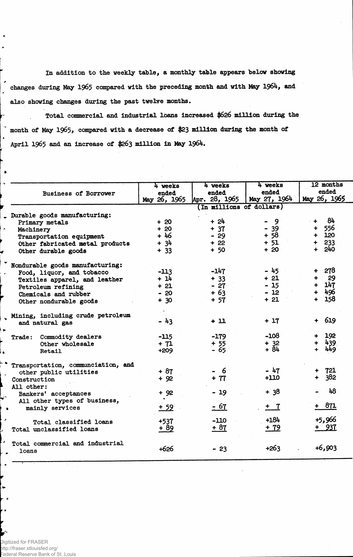In addition to the weekly table, a monthly table appears below showing changes during May 1965 compared with the preceding month and with May 1964, and also showing changes during the past twelve months.

Total commercial and industrial loans increased **\$626** million during the month of May **1965,** compared with a decrease of \$23 million during the month of April 1965 and an increase of **\$263** million in May 1964.

| <b>Business of Borrower</b>                            | 4 weeks<br>ended<br>May 26, 1965 | 4 weeks<br>ended<br>Apr. 28, 1965 | 4 weeks<br>ended<br>May 27, $196\frac{1}{7}$ | 12 months<br>ended<br>May 26, 1965 |  |  |
|--------------------------------------------------------|----------------------------------|-----------------------------------|----------------------------------------------|------------------------------------|--|--|
|                                                        |                                  | (In millions of dollars)          |                                              |                                    |  |  |
| Durable goods manufacturing:                           |                                  |                                   |                                              |                                    |  |  |
| Primary metals                                         | $+20$                            | $+24$                             | - 9                                          | -84<br>$+$                         |  |  |
| Machinery                                              | $+20$                            | $+ 37$                            | $-39$                                        | $+ 556$                            |  |  |
| Transportation equipment                               | $+46$                            | $-29$                             | $+58$                                        | $+ 120$                            |  |  |
| Other fabricated metal products<br>Other durable goods | $+ 34$<br>$+ 33$                 | $+22$<br>$+ 50$                   | $+ 51$<br>$+20$                              | $+ 233$<br>$+ 240$                 |  |  |
|                                                        |                                  |                                   |                                              |                                    |  |  |
| Nondurable goods manufacturing:                        |                                  |                                   |                                              |                                    |  |  |
| Food, liquor, and tobacco                              | $-113$                           | $-147$                            | - 45                                         | 278<br>$\ddot{\phantom{1}}$        |  |  |
| Textiles apparel, and leather                          | $+14$                            | $+ 33$                            | $+21$                                        | 29<br>$\ddotmark$                  |  |  |
| Petroleum refining                                     | $+21$                            | $-27$                             | $-15$                                        | $+ 147$                            |  |  |
| Chemicals and rubber                                   | $-20$                            | $+63$                             | $-12$                                        | + 496                              |  |  |
| Other nondurable goods                                 | $+ 30$                           | $+ 57$                            | $+21$                                        | 158<br>$+$                         |  |  |
| Mining, including crude petroleum                      |                                  |                                   |                                              |                                    |  |  |
| and natural gas                                        | $-43$                            | $+11$                             | $+17$                                        | $+ 619$                            |  |  |
| Trade: Commodity dealers                               | -115                             | $-179$                            | $-108$                                       | 192                                |  |  |
| Other wholesale                                        | $+ 71$                           | $+55$                             | $+ 32$                                       | 439<br>÷                           |  |  |
| <b>Retail</b>                                          | $+209$                           | - 65                              | + 84                                         | 449                                |  |  |
| Transportation, communciation, and                     |                                  |                                   |                                              |                                    |  |  |
| other public utilities                                 | $+ 87$                           | - 6                               | $-47$                                        | $+ 721$                            |  |  |
| Construction                                           | $+92$                            | $+ 77$                            | $+110$                                       | + 382                              |  |  |
| All other:                                             |                                  |                                   |                                              |                                    |  |  |
| Bankers' acceptances                                   | $+92$                            | $-19$                             | $+38$                                        | 48                                 |  |  |
| All other types of business,                           |                                  |                                   |                                              |                                    |  |  |
| mainly services<br>۰                                   | $+ 59$                           | $-67$                             | $+ 7$                                        | + 871                              |  |  |
| Total classified loans                                 | $+537$                           | $-110$                            | $+184$                                       | +5,966                             |  |  |
| Total unclassified loans                               | + 89                             | $+87$                             | $+ 79$                                       | + 937                              |  |  |
|                                                        |                                  |                                   |                                              |                                    |  |  |
| Total commercial and industrial<br>loans               | $+626$                           | $-23$                             | $+263$                                       | $+6,903$                           |  |  |

Digitized for FRASER http://fraser.stlouisfed.org/ Federal Reserve Bank of St. Louis

 $\rightarrow$ 

 $\bullet$